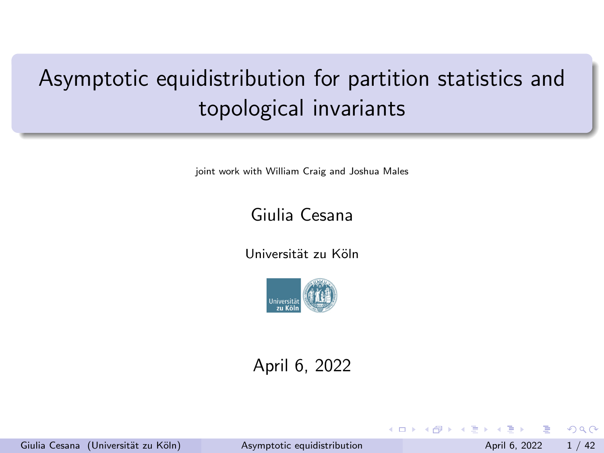# <span id="page-0-0"></span>Asymptotic equidistribution for partition statistics and topological invariants

joint work with William Craig and Joshua Males

### Giulia Cesana

Universität zu Köln



### April 6, 2022

Giulia Cesana (Universität zu Köln) [Asymptotic equidistribution](#page-41-0) April 6, 2022 1/42

 $\Omega$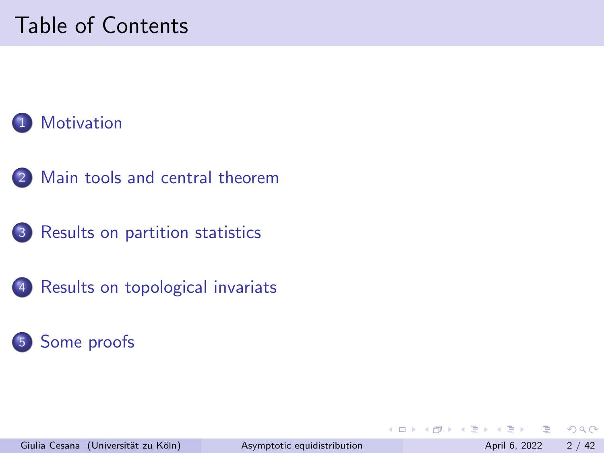# Table of Contents

## **[Motivation](#page-2-0)**

- 2 [Main tools and central theorem](#page-7-0)
- 3 [Results on partition statistics](#page-18-0)
- 4 [Results on topological invariats](#page-26-0)

### 5 [Some proofs](#page-29-0)

 $\leftarrow$ 

 $\Omega$ 

舌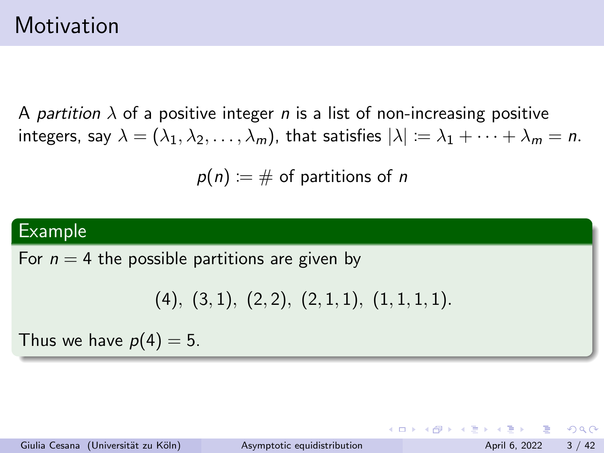## <span id="page-2-0"></span>Motivation

A partition  $\lambda$  of a positive integer n is a list of non-increasing positive integers, say  $\lambda = (\lambda_1, \lambda_2, \dots, \lambda_m)$ , that satisfies  $|\lambda| := \lambda_1 + \dots + \lambda_m = n$ .

 $p(n) := \#$  of partitions of n

### Example

For  $n = 4$  the possible partitions are given by

```
(4), (3, 1), (2, 2), (2, 1, 1), (1, 1, 1, 1).
```
Thus we have  $p(4) = 5$ .

Giulia Cesana (Universität zu Köln) [Asymptotic equidistribution](#page-0-0) April 6, 2022 3 / 42

KED KAP KED KED E VAA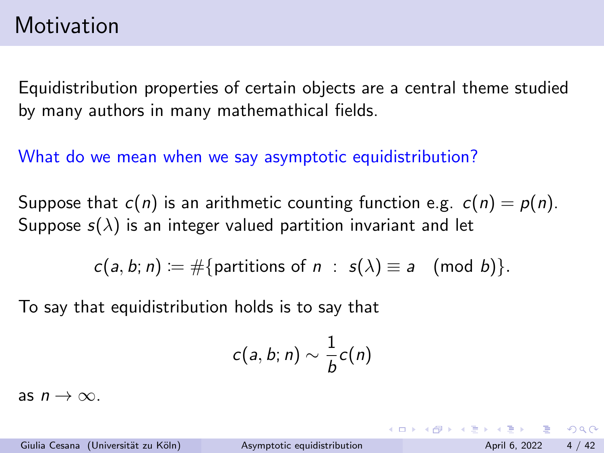Equidistribution properties of certain objects are a central theme studied by many authors in many mathemathical fields.

What do we mean when we say asymptotic equidistribution?

Suppose that  $c(n)$  is an arithmetic counting function e.g.  $c(n) = p(n)$ . Suppose  $s(\lambda)$  is an integer valued partition invariant and let

$$
c(a, b; n) := \#\{\text{partitions of } n : s(\lambda) \equiv a \pmod{b}\}.
$$

To say that equidistribution holds is to say that

$$
c(a,b;n)\sim \frac{1}{b}c(n)
$$

as  $n \to \infty$ .

Giulia Cesana (Universität zu Köln) [Asymptotic equidistribution](#page-0-0) April 6, 2022 4 / 42

KET KEN KEN (EN 1900)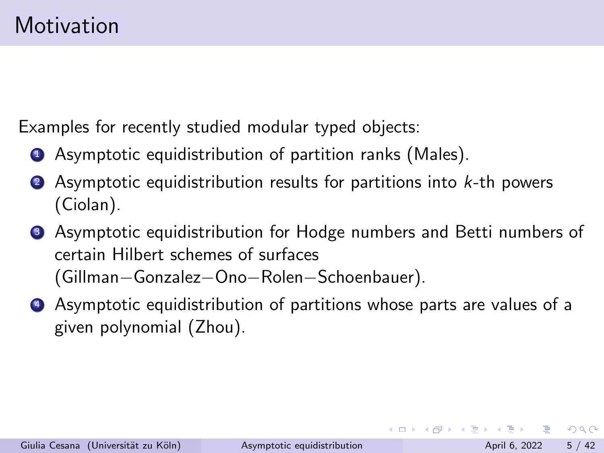Examples for recently studied modular typed objects:

- **1** Asymptotic equidistribution of partition ranks (Males).
- $\bullet$  Asymptotic equidistribution results for partitions into  $k$ -th powers (Ciolan).
- **3** Asymptotic equidistribution for Hodge numbers and Betti numbers of certain Hilbert schemes of surfaces (Gillman−Gonzalez−Ono−Rolen−Schoenbauer).
- <sup>4</sup> Asymptotic equidistribution of partitions whose parts are values of a given polynomial (Zhou).

 $\Omega$ 

 $\mathcal{A} \cap \mathcal{B} \rightarrow \mathcal{A} \ni \mathcal{B} \rightarrow \mathcal{A} \ni \mathcal{B} \rightarrow \mathcal{B}$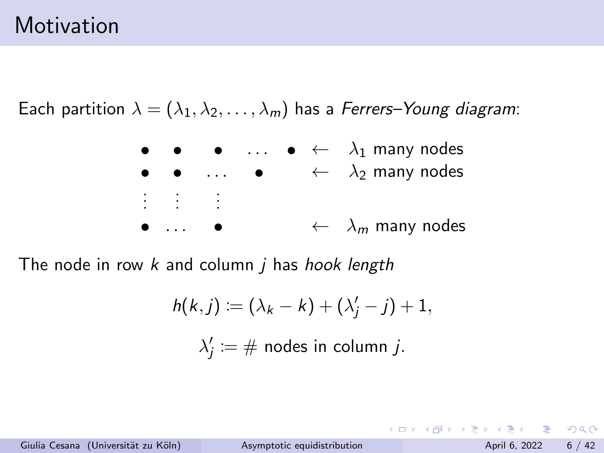## **Motivation**

Each partition  $\lambda = (\lambda_1, \lambda_2, \dots, \lambda_m)$  has a Ferrers–Young diagram:



The node in row  $k$  and column  $i$  has hook length

$$
h(k,j) := (\lambda_k - k) + (\lambda'_j - j) + 1,
$$
  

$$
\lambda'_j := \# \text{ nodes in column } j.
$$

Giulia Cesana (Universität zu Köln) [Asymptotic equidistribution](#page-0-0) April 6, 2022 6 / 42

K ロ ▶ K 個 ▶ K 로 ▶ K 로 ▶ 『로 』 ◇ Q Q @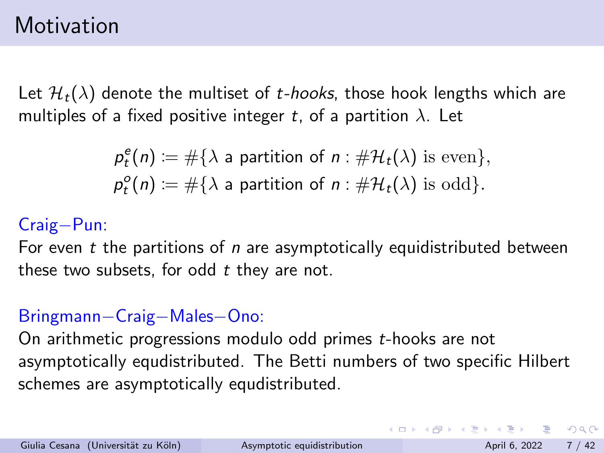## Motivation

Let  $\mathcal{H}_t(\lambda)$  denote the multiset of t-hooks, those hook lengths which are multiples of a fixed positive integer t, of a partition  $\lambda$ . Let

$$
p_t^e(n) := #\{\lambda \text{ a partition of } n : #\mathcal{H}_t(\lambda) \text{ is even}\},
$$
  

$$
p_t^o(n) := #\{\lambda \text{ a partition of } n : #\mathcal{H}_t(\lambda) \text{ is odd}\}.
$$

### Craig−Pun:

For even  $t$  the partitions of  $n$  are asymptotically equidistributed between these two subsets, for odd  $t$  they are not.

### Bringmann−Craig−Males−Ono:

On arithmetic progressions modulo odd primes t-hooks are not asymptotically equdistributed. The Betti numbers of two specific Hilbert schemes are asymptotically equdistributed.

**KOD KARD KED KED B YOUR**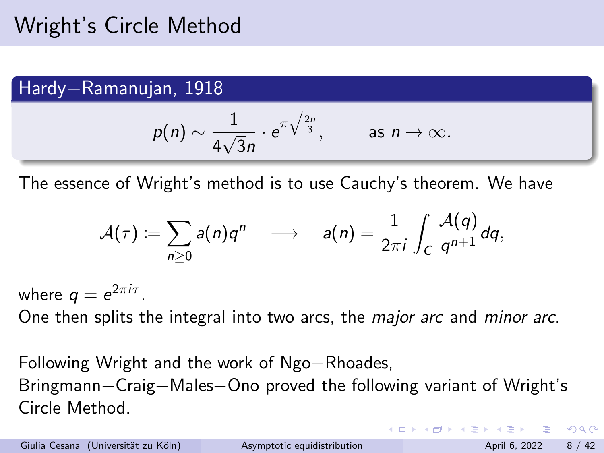### <span id="page-7-0"></span>Hardy−Ramanujan, 1918

$$
p(n) \sim \frac{1}{4\sqrt{3}n} \cdot e^{\pi \sqrt{\frac{2n}{3}}},
$$
 as  $n \to \infty$ .

The essence of Wright's method is to use Cauchy's theorem. We have

$$
\mathcal{A}(\tau) := \sum_{n\geq 0} a(n)q^n \quad \longrightarrow \quad a(n) = \frac{1}{2\pi i} \int_C \frac{\mathcal{A}(q)}{q^{n+1}} dq,
$$

where  $q=e^{2\pi i \tau}$ .

One then splits the integral into two arcs, the *major arc* and *minor arc*.

Following Wright and the work of Ngo−Rhoades, Bringmann−Craig−Males−Ono proved the following variant of Wright's Circle Method.

Giulia Cesana (Universität zu Köln) [Asymptotic equidistribution](#page-0-0) April 6, 2022 8 / 42

**KOD KARD KED KED B YOUR**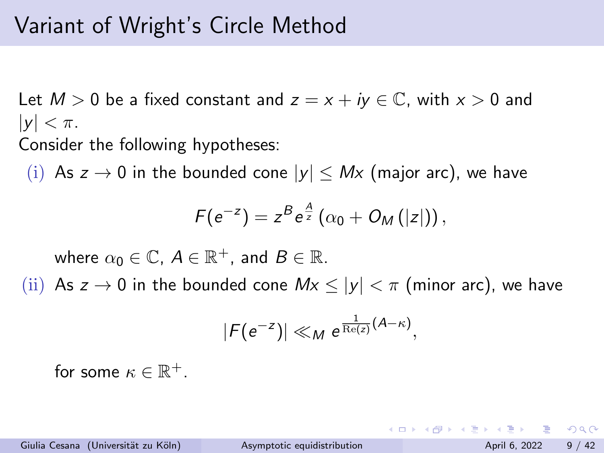# Variant of Wright's Circle Method

Let  $M > 0$  be a fixed constant and  $z = x + iy \in \mathbb{C}$ , with  $x > 0$  and  $|y| < \pi$ .

Consider the following hypotheses:

(i) As  $z \to 0$  in the bounded cone  $|y| \leq Mx$  (major arc), we have

$$
F(e^{-z})=z^Be^{\frac{A}{z}}(\alpha_0+O_M(|z|)),
$$

where  $\alpha_0\in\mathbb{C}$ ,  $A\in\mathbb{R}^+$ , and  $B\in\mathbb{R}$ .

(ii) As  $z \to 0$  in the bounded cone  $Mx \le |y| < \pi$  (minor arc), we have

$$
|F(e^{-z})| \ll_M e^{\frac{1}{\mathrm{Re}(z)}(A-\kappa)},
$$

for some  $\kappa \in \mathbb{R}^+$ .

 $=$   $\Omega$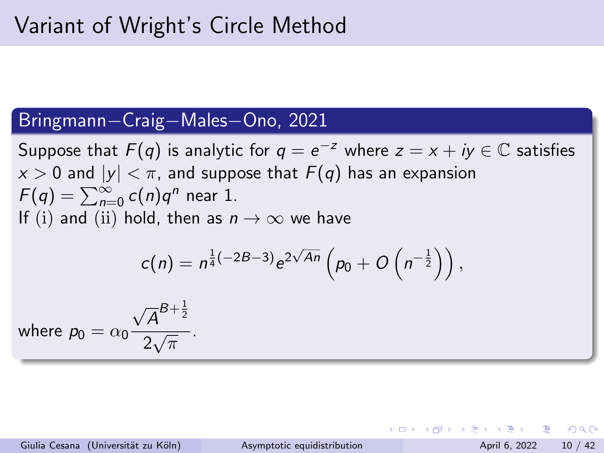### Bringmann−Craig−Males−Ono, 2021

Suppose that  $F(q)$  is analytic for  $q=e^{-z}$  where  $z=x+iy\in\mathbb{C}$  satisfies  $x > 0$  and  $|y| < \pi$ , and suppose that  $F(q)$  has an expansion  $F(q) = \sum_{n=0}^{\infty} c(n) q^n$  near 1. If (i) and (ii) hold, then as  $n \to \infty$  we have √

$$
c(n) = n^{\frac{1}{4}(-2B-3)} e^{2\sqrt{An}} \left(p_0 + O\left(n^{-\frac{1}{2}}\right)\right),
$$

where  $p_0 = \alpha_0$ √  $\overline{A}^{B+\frac{1}{2}}$  $\frac{1}{2\sqrt{\pi}}$ .

Giulia Cesana (Universität zu Köln) [Asymptotic equidistribution](#page-0-0) April 6, 2022 10 / 42

KET KEN KEN (EN 1900)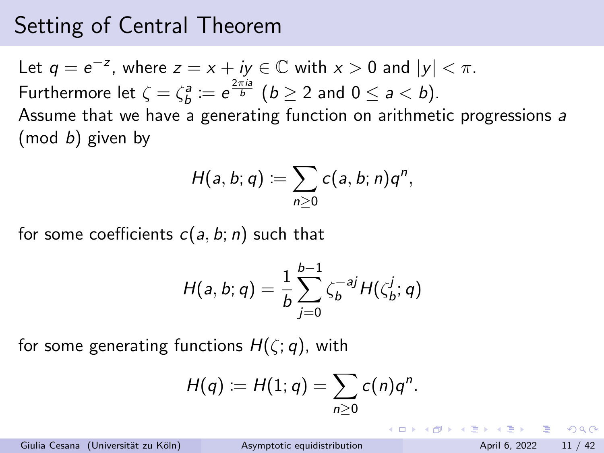## Setting of Central Theorem

Let  $q = e^{-z}$ , where  $z = x + iy \in \mathbb{C}$  with  $x > 0$  and  $|y| < \pi$ . Furthermore let  $\zeta = \zeta_b^a \coloneqq e^{\frac{2\pi i a}{b}}$   $(b \geq 2$  and  $0 \leq a < b$ ). Assume that we have a generating function on arithmetic progressions a  $(mod b)$  given by

$$
H(a, b; q) \coloneqq \sum_{n \geq 0} c(a, b; n) q^n,
$$

for some coefficients  $c(a, b; n)$  such that

$$
H(a, b; q) = \frac{1}{b} \sum_{j=0}^{b-1} \zeta_b^{-aj} H(\zeta_b^j; q)
$$

for some generating functions  $H(\zeta; q)$ , with

$$
H(q) := H(1; q) = \sum_{n \geq 0} c(n)q^n.
$$

Giulia Cesana (Universität zu Köln) [Asymptotic equidistribution](#page-0-0) April 6, 2022 11 / 42

KET KEN KEN (EN 1900)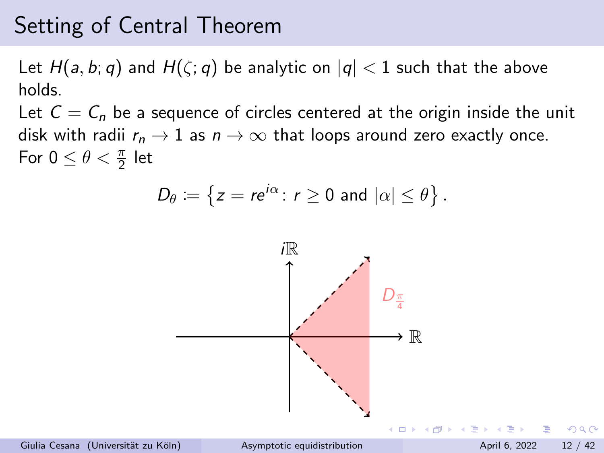## Setting of Central Theorem

Let  $H(a, b; q)$  and  $H(\zeta; q)$  be analytic on  $|q| < 1$  such that the above holds.

Let  $C = C_n$  be a sequence of circles centered at the origin inside the unit disk with radii  $r_n \to 1$  as  $n \to \infty$  that loops around zero exactly once. For  $0 \leq \theta < \frac{\pi}{2}$  let

$$
D_{\theta} := \left\{ z = re^{i\alpha} \colon r \geq 0 \text{ and } |\alpha| \leq \theta \right\}.
$$



Giulia Cesana (Universität zu Köln) [Asymptotic equidistribution](#page-0-0) April 6, 2022 12 / 42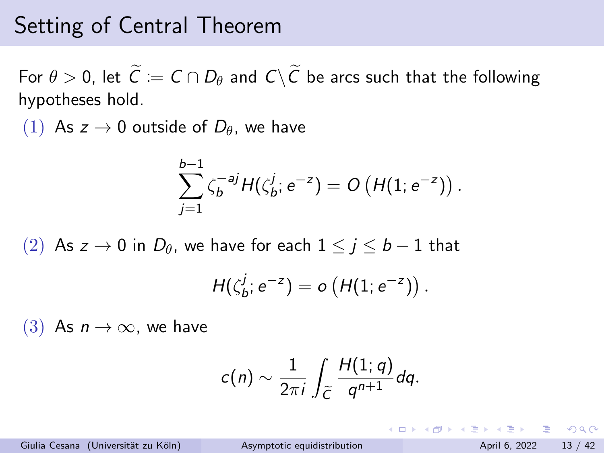## Setting of Central Theorem

For  $\theta > 0$ , let  $\widetilde{C} := C \cap D_{\theta}$  and  $C \setminus \widetilde{C}$  be arcs such that the following hypotheses hold.

(1) As  $z \to 0$  outside of  $D_\theta$ , we have

$$
\sum_{j=1}^{b-1} \zeta_b^{-aj} H(\zeta_b^j; e^{-z}) = O\left(H(1; e^{-z})\right).
$$

(2) As z → 0 in  $D_{\theta}$ , we have for each  $1 \le j \le b-1$  that

$$
H(\zeta_b^j;e^{-z})=o\left(H(1;e^{-z})\right).
$$

(3) As  $n \to \infty$ , we have

$$
c(n) \sim \frac{1}{2\pi i} \int_{\widetilde{C}} \frac{H(1;q)}{q^{n+1}} dq.
$$

Giulia Cesana (Universität zu Köln) [Asymptotic equidistribution](#page-0-0) April 6, 2022 13 / 42

 $=$   $\Omega$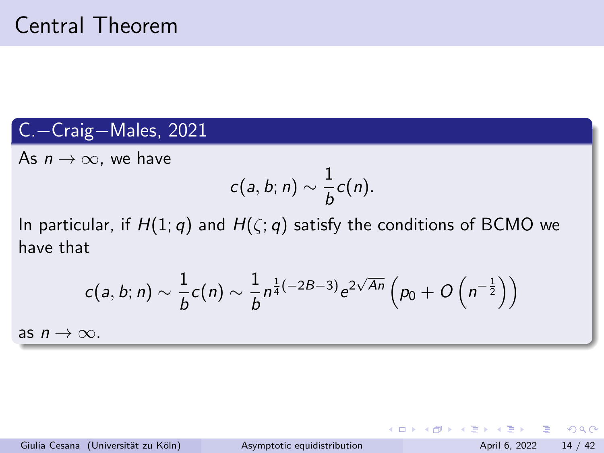### C.−Craig−Males, 2021

As  $n \to \infty$ , we have

$$
c(a,b;n)\sim \frac{1}{b}c(n).
$$

In particular, if  $H(1; q)$  and  $H(\zeta; q)$  satisfy the conditions of BCMO we have that

$$
c(a, b; n) \sim \frac{1}{b}c(n) \sim \frac{1}{b}n^{\frac{1}{4}(-2B-3)}e^{2\sqrt{An}}\left(p_0 + O\left(n^{-\frac{1}{2}}\right)\right)
$$

as  $n \to \infty$ .

 $\equiv$  940

イロト イ押ト イヨト イヨト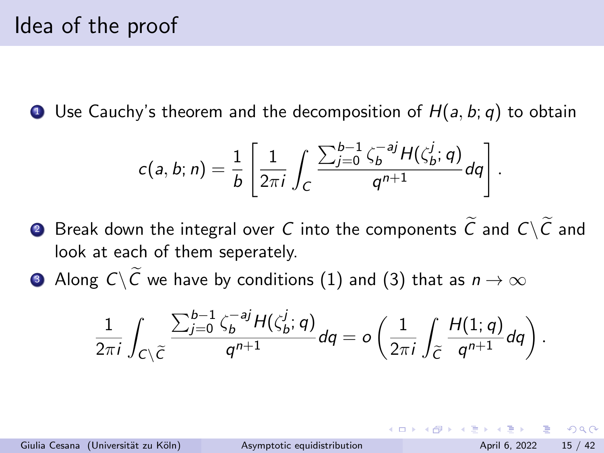**1** Use Cauchy's theorem and the decomposition of  $H(a, b; q)$  to obtain

$$
c(a,b;n)=\frac{1}{b}\left[\frac{1}{2\pi i}\int_C\frac{\sum_{j=0}^{b-1}\zeta_b^{-aj}H(\zeta_b^j;q)}{q^{n+1}}dq\right].
$$

- **2** Break down the integral over C into the components  $\tilde{C}$  and  $C\setminus\tilde{C}$  and look at each of them seperately.
- **3** Along  $C\setminus\overline{C}$  we have by conditions (1) and (3) that as  $n \to \infty$

$$
\frac{1}{2\pi i}\int_{C\setminus\widetilde{C}}\frac{\sum_{j=0}^{b-1}\zeta_b^{-aj}H(\zeta_b^j;q)}{q^{n+1}}dq=o\left(\frac{1}{2\pi i}\int_{\widetilde{C}}\frac{H(1;q)}{q^{n+1}}dq\right).
$$

Giulia Cesana (Universität zu Köln) [Asymptotic equidistribution](#page-0-0) April 6, 2022 15 / 42

 $\Omega$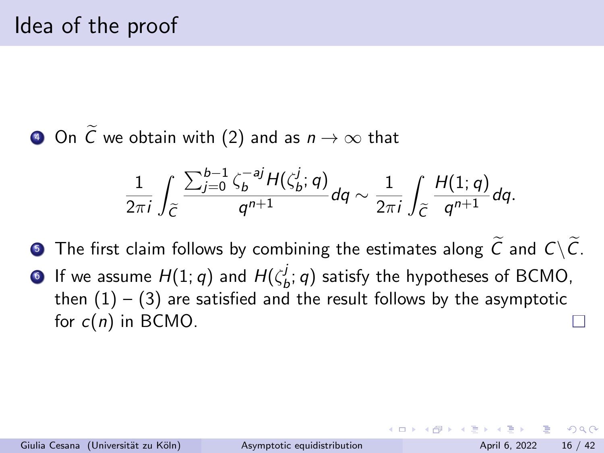**4** On  $\widetilde{C}$  we obtain with (2) and as  $n \to \infty$  that

$$
\frac{1}{2\pi i}\int_{\widetilde{C}}\frac{\sum_{j=0}^{b-1}\zeta_{b}^{-aj}H(\zeta_{b}^{j};q)}{q^{n+1}}dq\sim\frac{1}{2\pi i}\int_{\widetilde{C}}\frac{H(1;q)}{q^{n+1}}dq.
$$

 $\bullet$  The first claim follows by combining the estimates along  $\widetilde{C}$  and  $C\setminus\widetilde{C}$ .  $\bullet$  If we assume  $H(1;q)$  and  $H(\zeta^j_k)$  $\mathcal{L}_b^J$ ; q) satisfy the hypotheses of BCMO, then  $(1) - (3)$  are satisfied and the result follows by the asymptotic for  $c(n)$  in BCMO.

 $\Omega$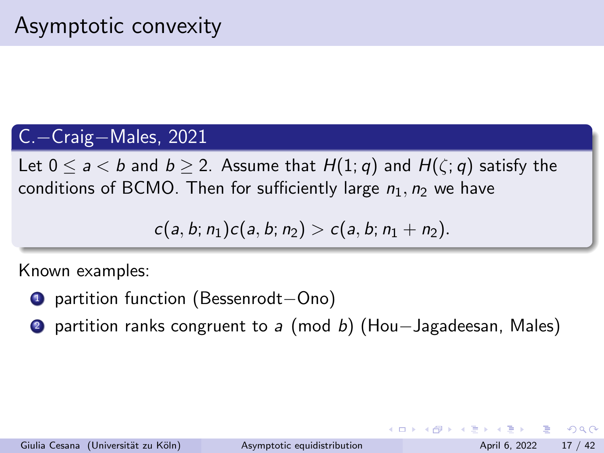### C.−Craig−Males, 2021

Let  $0 \le a < b$  and  $b \ge 2$ . Assume that  $H(1; q)$  and  $H(\zeta; q)$  satisfy the conditions of BCMO. Then for sufficiently large  $n_1$ ,  $n_2$  we have

$$
c(a, b; n_1)c(a, b; n_2) > c(a, b; n_1 + n_2).
$$

Known examples:

- <sup>1</sup> partition function (Bessenrodt−Ono)
- 2 partition ranks congruent to a (mod b) (Hou–Jagadeesan, Males)

 $\Omega$ 

→ 何 ▶ → ヨ ▶ → ヨ ▶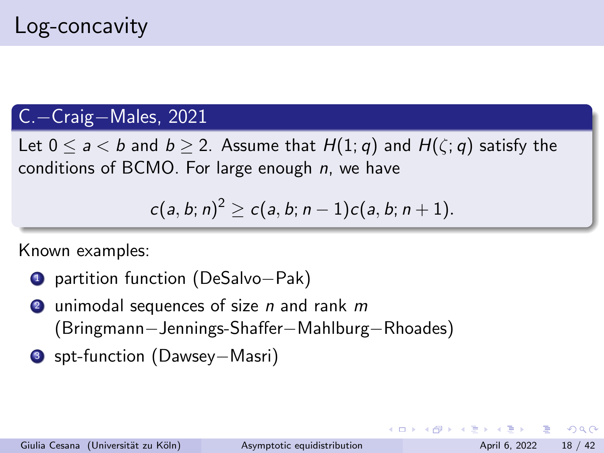### C.−Craig−Males, 2021

Let  $0 \le a < b$  and  $b \ge 2$ . Assume that  $H(1; q)$  and  $H(\zeta; q)$  satisfy the conditions of BCMO. For large enough  $n$ , we have

$$
c(a, b; n)^2 \ge c(a, b; n-1)c(a, b; n+1).
$$

Known examples:

- <sup>1</sup> partition function (DeSalvo−Pak)
- **2** unimodal sequences of size *n* and rank  $m$ (Bringmann−Jennings-Shaffer−Mahlburg−Rhoades)
- <sup>3</sup> spt-function (Dawsey−Masri)

KET KEN KEN (EN 1900)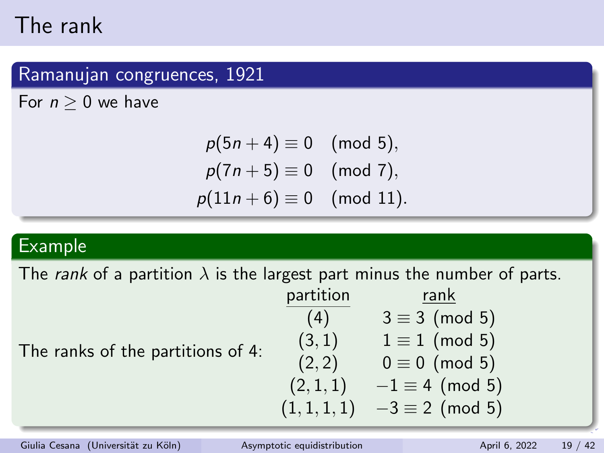# <span id="page-18-0"></span>The rank

### Ramanujan congruences, 1921

For  $n > 0$  we have

$$
p(5n + 4) \equiv 0 \pmod{5},
$$
  
\n
$$
p(7n + 5) \equiv 0 \pmod{7},
$$
  
\n
$$
p(11n + 6) \equiv 0 \pmod{11}.
$$

### Example

The rank of a partition  $\lambda$  is the largest part minus the number of parts.

The ranks of the partitions of 4:

|           | $F^{\text{csc}}$ part minings the name of $F$ |
|-----------|-----------------------------------------------|
| partition | <u>rank</u>                                   |
| (4)       | $3 \equiv 3 \pmod{5}$                         |
| (3,1)     | $1 \equiv 1 \pmod{5}$                         |
| (2, 2)    | $0 \equiv 0 \pmod{5}$                         |
| (2,1,1)   | $-1 \equiv 4 \pmod{5}$                        |
| (1,1,1,1) | $-3 \equiv 2 \pmod{5}$                        |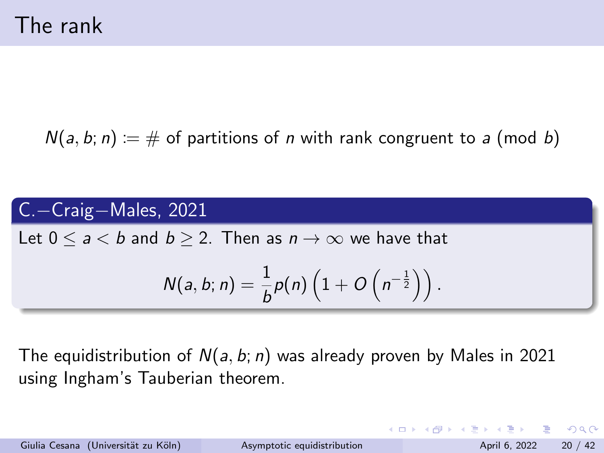$N(a, b; n) = #$  of partitions of *n* with rank congruent to *a* (mod *b*)

C.−Craig−Males, 2021

Let  $0 \le a \le b$  and  $b \ge 2$ . Then as  $n \to \infty$  we have that

$$
N(a, b; n) = \frac{1}{b}p(n)\left(1 + O\left(n^{-\frac{1}{2}}\right)\right).
$$

The equidistribution of  $N(a, b; n)$  was already proven by Males in 2021 using Ingham's Tauberian theorem.

Giulia Cesana (Universität zu Köln) [Asymptotic equidistribution](#page-0-0) April 6, 2022 20 / 42

 $\equiv$   $\cap$   $\alpha$ 

イロト イ部 トイヨ トイヨト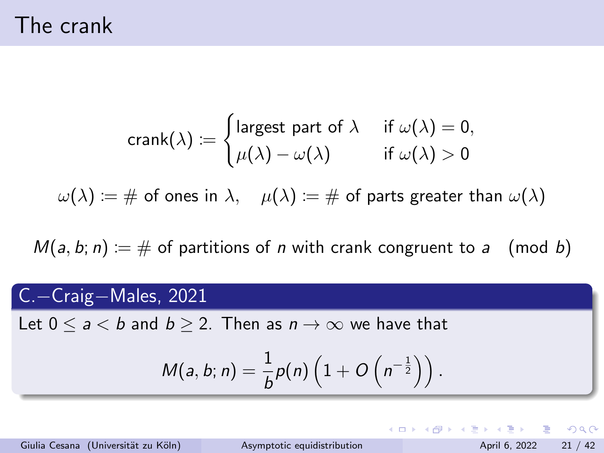The crank

$$
\text{crank}(\lambda) \coloneqq \begin{cases} \text{largest part of } \lambda & \text{if } \omega(\lambda) = 0, \\ \mu(\lambda) - \omega(\lambda) & \text{if } \omega(\lambda) > 0 \end{cases}
$$

 $\omega(\lambda) := \#$  of ones in  $\lambda$ ,  $\mu(\lambda) := \#$  of parts greater than  $\omega(\lambda)$ 

 $M(a, b; n) := \#$  of partitions of *n* with crank congruent to *a* (mod *b*)

### C.−Craig−Males, 2021

Let  $0 \le a \le b$  and  $b \ge 2$ . Then as  $n \to \infty$  we have that

$$
M(a, b; n) = \frac{1}{b}p(n)\left(1 + O\left(n^{-\frac{1}{2}}\right)\right).
$$

Giulia Cesana (Universität zu Köln) [Asymptotic equidistribution](#page-0-0) April 6, 2022 21 / 42

K ロ ▶ K 個 ▶ K 로 ▶ K 로 ▶ 『로 』 ◇ Q Q @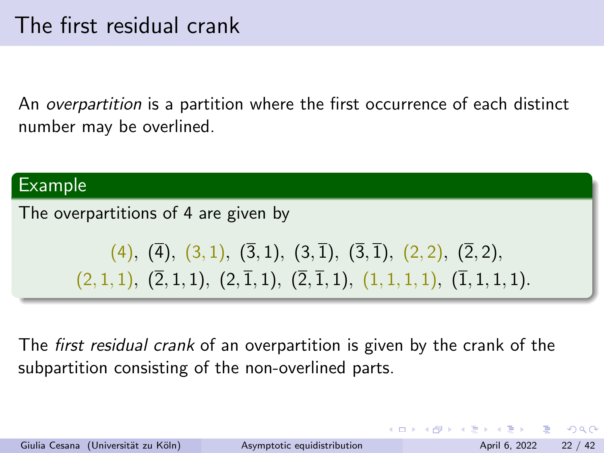An overpartition is a partition where the first occurrence of each distinct number may be overlined.

#### Example

The overpartitions of 4 are given by

$$
(4), (\overline{4}), (3,1), (3,1), (3,\overline{1}), (3,\overline{1}), (2,2), (2,2), (2,1,1), (2,1,1), (2,\overline{1},1), (2,\overline{1},1), (1,1,1,1), (\overline{1},1,1,1).
$$

The *first residual crank* of an overpartition is given by the crank of the subpartition consisting of the non-overlined parts.

 $\Omega$ 

- 4 重 8 - 4 重 8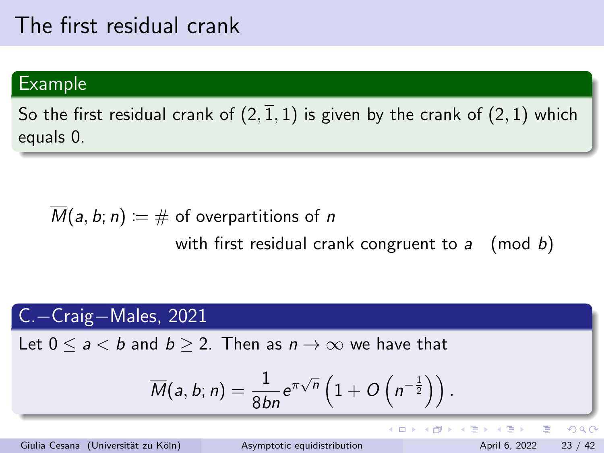## The first residual crank

### Example

So the first residual crank of  $(2,\overline{1},1)$  is given by the crank of  $(2,1)$  which equals 0.

$$
\overline{M}(a, b; n) := # \text{ of overpartitions of } n
$$
\nwith first residual crash congruent to a (mod b)

### C.−Craig−Males, 2021

Let  $0 \le a \le b$  and  $b \ge 2$ . Then as  $n \to \infty$  we have that

$$
\overline{M}(a,b;n)=\frac{1}{8bn}e^{\pi\sqrt{n}}\left(1+O\left(n^{-\frac{1}{2}}\right)\right).
$$

Giulia Cesana (Universität zu Köln) [Asymptotic equidistribution](#page-0-0) April 6, 2022 23 / 42

 $\leftarrow$   $\Box$   $\rightarrow$ 

4 母

 $QQ$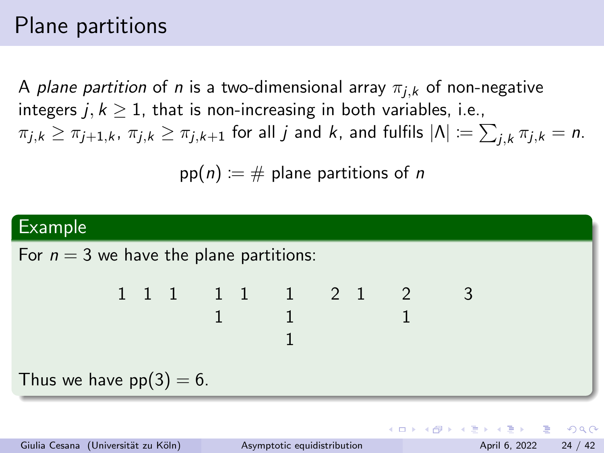# Plane partitions

A plane partition of n is a two-dimensional array  $\pi_{i,k}$  of non-negative integers  $j, k > 1$ , that is non-increasing in both variables, i.e.,  $\pi_{j,k} \geq \pi_{j+1,k}, \ \pi_{j,k} \geq \pi_{j,k+1}$  for all  $j$  and  $k$ , and fulfils  $|\Lambda| \coloneqq \sum_{j,k} \pi_{j,k} = n.$ 

 $pp(n) := \#$  plane partitions of n

### Example For  $n = 3$  we have the plane partitions: 1 1 1 1 1 1 2 1 2 1 1 1 1 3 Thus we have  $pp(3) = 6$ .

KED KAP KED KED E VAA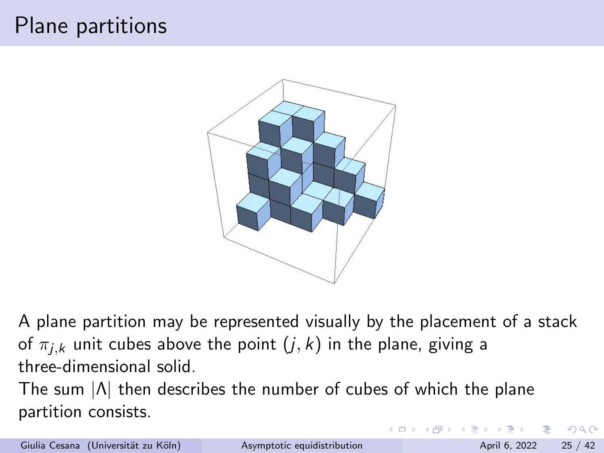# Plane partitions



A plane partition may be represented visually by the placement of a stack of  $\pi_{i,k}$  unit cubes above the point  $(j, k)$  in the plane, giving a three-dimensional solid.

The sum |Λ| then describes the number of cubes of which the plane partition consists.

Giulia Cesana (Universität zu Köln) [Asymptotic equidistribution](#page-0-0) April 6, 2022 25 / 42

 $\Omega$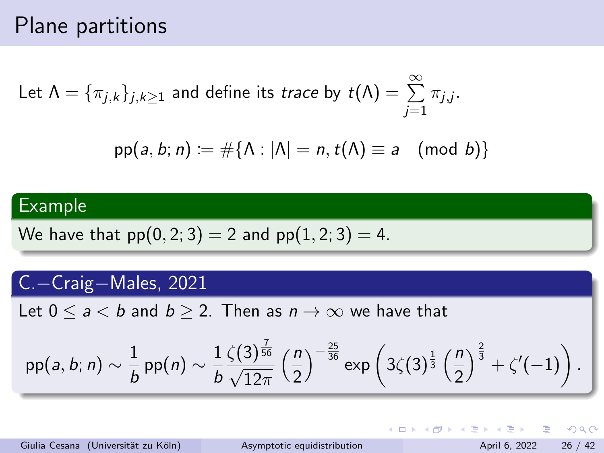## Plane partitions

Let  $\Lambda = \{\pi_{j,k}\}_{j,k\geq 1}$  and define its  $\textit{trace}$  by  $\textit{t}(\Lambda) = \sum^\infty$ j=1  $\pi_{j,j}$ .

$$
\mathsf{pp}(a, b; n) \coloneqq \#\{\Lambda : |\Lambda| = n, t(\Lambda) \equiv a \pmod{b}\}
$$

### Example

We have that 
$$
pp(0, 2; 3) = 2
$$
 and  $pp(1, 2; 3) = 4$ .

### C.−Craig−Males, 2021

Let  $0 \le a < b$  and  $b \ge 2$ . Then as  $n \to \infty$  we have that

$$
\mathsf{pp}(a,b;n) \sim \frac{1}{b} \mathsf{pp}(n) \sim \frac{1}{b} \frac{\zeta(3)^{\frac{7}{56}}}{\sqrt{12\pi}} \left(\frac{n}{2}\right)^{-\frac{25}{36}} \exp\left(3\zeta(3)^{\frac{1}{3}}\left(\frac{n}{2}\right)^{\frac{2}{3}} + \zeta'(-1)\right).
$$

Giulia Cesana (Universität zu Köln) [Asymptotic equidistribution](#page-0-0) April 6, 2022 26 / 42

K □ ▶ K @ ▶ K 로 ▶ K 로 ▶ \_ 로 \_ K 9 Q @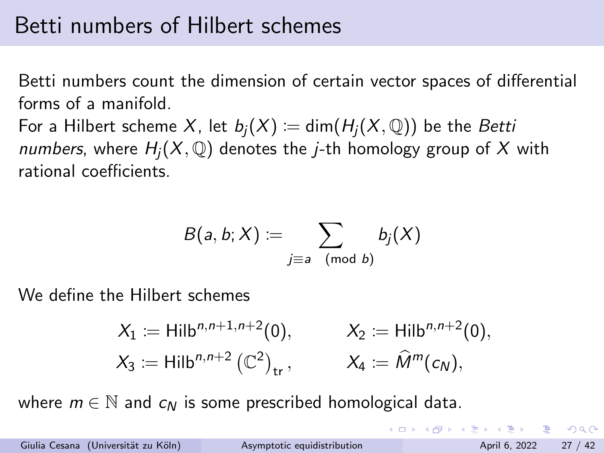## <span id="page-26-0"></span>Betti numbers of Hilbert schemes

Betti numbers count the dimension of certain vector spaces of differential forms of a manifold.

For a Hilbert scheme X, let  $b_i(X) := \dim(H_i(X, \mathbb{Q}))$  be the Betti numbers, where  $H_i(X, \mathbb{Q})$  denotes the *j*-th homology group of X with rational coefficients.

$$
B(a,b;X) \coloneqq \sum_{j \equiv a \pmod{b}} b_j(X)
$$

We define the Hilbert schemes

$$
X_1 := \text{Hilb}^{n,n+1,n+2}(0), \qquad X_2 := \text{Hilb}^{n,n+2}(0), X_3 := \text{Hilb}^{n,n+2} (\mathbb{C}^2)_{\text{tr}}, \qquad X_4 := \widehat{M}^m(c_N),
$$

where  $m \in \mathbb{N}$  and  $c_M$  is some prescribed homological data.

Giulia Cesana (Universität zu Köln) [Asymptotic equidistribution](#page-0-0) April 6, 2022 27 / 42

 $\Omega$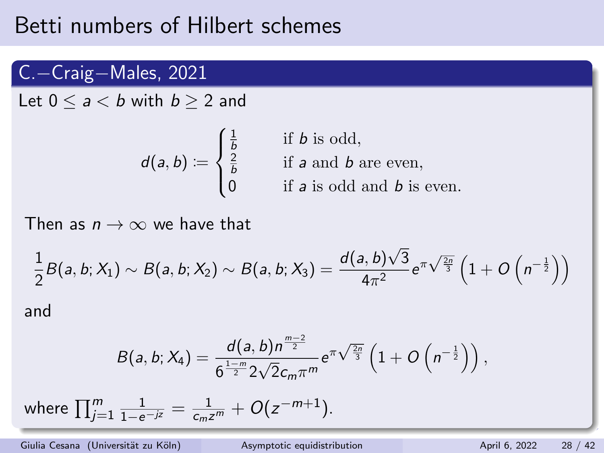## Betti numbers of Hilbert schemes

### C.−Craig−Males, 2021

Let  $0 \le a \le b$  with  $b \ge 2$  and

 $d(a, b) \coloneqq$  $\sqrt{ }$  $\left\{ \right\}$  $\overline{\mathcal{L}}$  $\frac{1}{b}$  $\frac{2}{b}$ if b is odd, if  $\emph{a}$  and  $\emph{b}$  are even, if  $a$  is odd and  $b$  is even.

Then as  $n \to \infty$  we have that

$$
\frac{1}{2}B(a, b; X_1) \sim B(a, b; X_2) \sim B(a, b; X_3) = \frac{d(a, b)\sqrt{3}}{4\pi^2}e^{\pi\sqrt{\frac{2n}{3}}}\left(1 + O\left(n^{-\frac{1}{2}}\right)\right)
$$

and

$$
B(a, b; X_4) = \frac{d(a, b)n^{\frac{m-2}{2}}}{6^{\frac{1-m}{2}} 2\sqrt{2}c_m \pi^m} e^{\pi \sqrt{\frac{2n}{3}}} \left(1 + O\left(n^{-\frac{1}{2}}\right)\right),
$$

where  $\prod_{j=1}^{m}\frac{1}{1-e^{-jz}}=\frac{1}{c_{m}z^{m}}+O(z^{-m+1}).$ 

Giulia Cesana (Universität zu Köln) [Asymptotic equidistribution](#page-0-0) April 6, 2022 28 / 42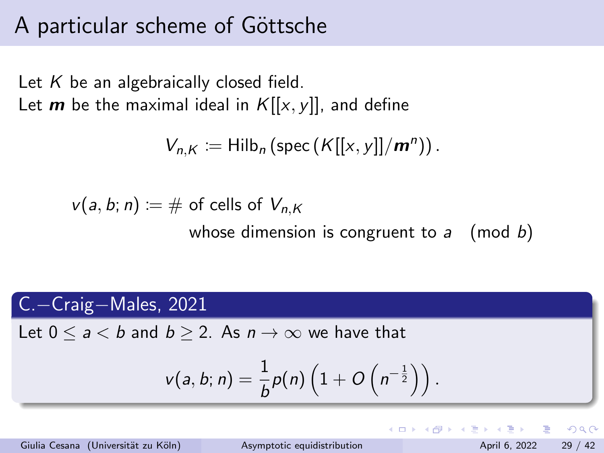## A particular scheme of Göttsche

Let  $K$  be an algebraically closed field. Let **m** be the maximal ideal in  $K[[x, y]]$ , and define

$$
V_{n,K} := \mathrm{Hilb}_n\left(\mathrm{spec}\left(K[[x,y]]/m^n\right)\right).
$$

 $v(a, b; n) := \#$  of cells of  $V_{n,K}$ 

whose dimension is congruent to  $a \pmod{b}$ 

### C.−Craig−Males, 2021

Let  $0 \le a \le b$  and  $b \ge 2$ . As  $n \to \infty$  we have that

$$
v(a, b; n) = \frac{1}{b}p(n)\left(1 + O\left(n^{-\frac{1}{2}}\right)\right).
$$

Giulia Cesana (Universität zu Köln) [Asymptotic equidistribution](#page-0-0) April 6, 2022 29 / 42

 $\Omega$ 

**≮ロト ⊀伺ト ⊀∃ト**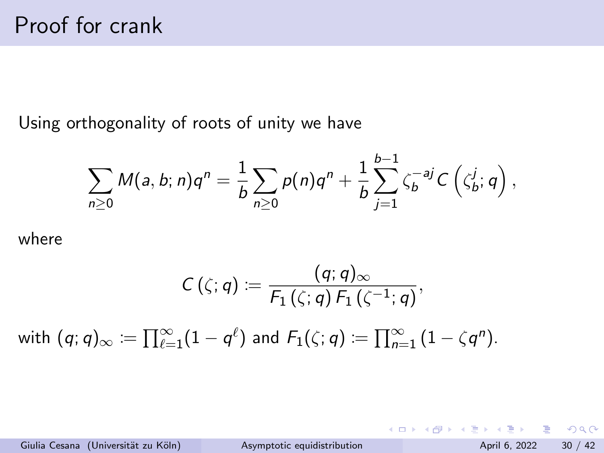<span id="page-29-0"></span>Using orthogonality of roots of unity we have

$$
\sum_{n\geq 0}M(a,b;n)q^n=\frac{1}{b}\sum_{n\geq 0}p(n)q^n+\frac{1}{b}\sum_{j=1}^{b-1}\zeta_b^{-aj}C(\zeta_b^j;q),
$$

where

$$
\mathcal{C}\left(\zeta;q\right)\coloneqq\frac{(q;q)_{\infty}}{\mathsf{F}_{1}\left(\zeta;q\right)\mathsf{F}_{1}\left(\zeta^{-1};q\right)},
$$
 with  $(q;q)_{\infty}\coloneqq\prod_{\ell=1}^{\infty}(1-q^{\ell})$  and  $\mathsf{F}_{1}(\zeta;q)\coloneqq\prod_{n=1}^{\infty}(1-\zeta q^{n}).$ 

Giulia Cesana (Universität zu Köln) [Asymptotic equidistribution](#page-0-0) April 6, 2022 30 / 42

K ロ ▶ K 個 ▶ K 로 ▶ K 로 ▶ 『로 』 ◇ Q Q @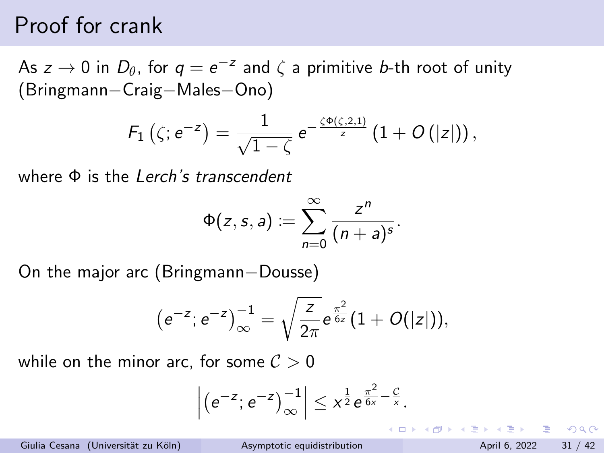## Proof for crank

As  $z \to 0$  in  $D_\theta$ , for  $q = e^{-z}$  and  $\zeta$  a primitive b-th root of unity (Bringmann−Craig−Males−Ono)

$$
F_1\left(\zeta; e^{-z}\right) = \frac{1}{\sqrt{1-\zeta}} e^{-\frac{\zeta \Phi\left(\zeta, 2, 1\right)}{z}} \left(1 + O\left(|z|\right)\right),\,
$$

where  $\Phi$  is the Lerch's transcendent

$$
\Phi(z,s,a):=\sum_{n=0}^{\infty}\frac{z^n}{(n+a)^s}.
$$

On the major arc (Bringmann−Dousse)

$$
(e^{-z};e^{-z})_{\infty}^{-1}=\sqrt{\frac{z}{2\pi}}e^{\frac{\pi^2}{6z}}(1+O(|z|)),
$$

while on the minor arc, for some  $\mathcal{C} > 0$ 

$$
\left| \left( e^{-z}; e^{-z} \right)^{-1}_{\infty} \right| \leq x^{\frac{1}{2}} e^{\frac{\pi^2}{6x} - \frac{C}{x}}.
$$

Giulia Cesana (Universität zu Köln) [Asymptotic equidistribution](#page-0-0) April 6, 2022 31 / 42

G.  $\Omega$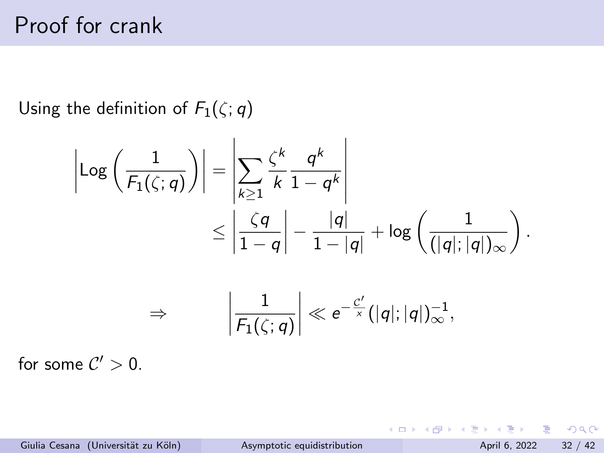# Proof for crank

Using the definition of  $F_1(\zeta; q)$ 

$$
\left|\text{Log}\left(\frac{1}{F_1(\zeta;q)}\right)\right| = \left|\sum_{k\geq 1} \frac{\zeta^k}{k} \frac{q^k}{1-q^k}\right|
$$
  

$$
\leq \left|\frac{\zeta q}{1-q}\right| - \frac{|q|}{1-|q|} + \log\left(\frac{1}{(|q|;|q|)_{\infty}}\right).
$$
  

$$
\Rightarrow \qquad \left|\frac{1}{F_1(\zeta;q)}\right| \ll e^{-\frac{c'}{x}}(|q|;|q|)_{\infty}^{-1},
$$

for some  $\mathcal{C}'>0$ .

K ロ ⊁ K 個 ≯ K 君 ⊁ K 君 ≯

 $OQ$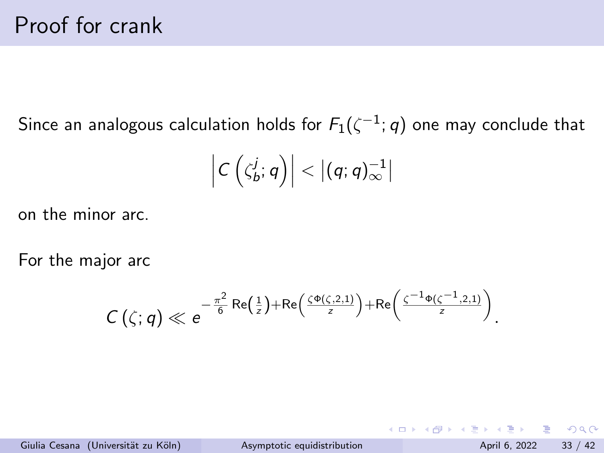Since an analogous calculation holds for  $F_1(\zeta^{-1};q)$  one may conclude that

$$
\left|C\left(\zeta_b^j;q\right)\right|< \left|(q;q)_\infty^{-1}\right|
$$

on the minor arc.

For the major arc

$$
C\left(\zeta;q\right)\ll e^{-\frac{\pi^2}{6}\text{Re}\left(\frac{1}{z}\right)+\text{Re}\left(\frac{\zeta\Phi\left(\zeta,2,1\right)}{z}\right)+\text{Re}\left(\frac{\zeta^{-1}\Phi\left(\zeta^{-1},2,1\right)}{z}\right)}
$$

 $\Omega$ 

.

イロト イ母 トイヨ トイヨト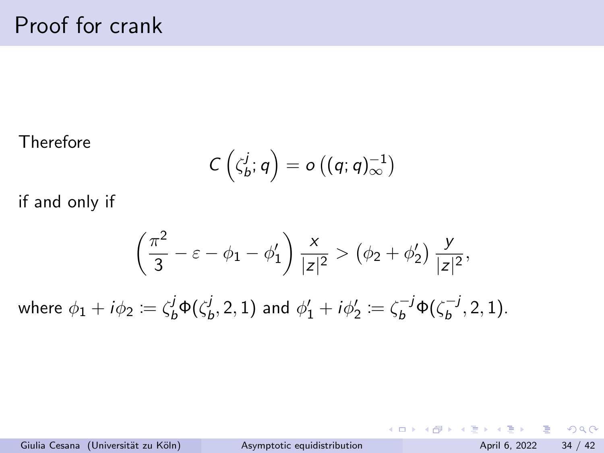#### Therefore

$$
C\left(\zeta_b^j;q\right)=o\left((q;q)_\infty^{-1}\right)
$$

if and only if

$$
\left(\frac{\pi^2}{3}-\varepsilon-\phi_1-\phi_1'\right)\frac{x}{|z|^2} > \left(\phi_2+\phi_2'\right)\frac{y}{|z|^2},
$$

where  $\phi_1 + i \phi_2 \coloneqq \zeta_b^j \Phi(\zeta_b^j)$  $\phi_b^j, 2, 1)$  and  $\phi_1' + i \phi_2' \coloneqq \zeta_b^{-j} \Phi(\zeta_b^{-j})$  $b^{-J}, 2, 1$ ).

 $\equiv$   $\cap$   $\alpha$ 

 $\left\{ \begin{array}{ccc} 1 & 0 & 0 \\ 0 & 1 & 0 \end{array} \right.$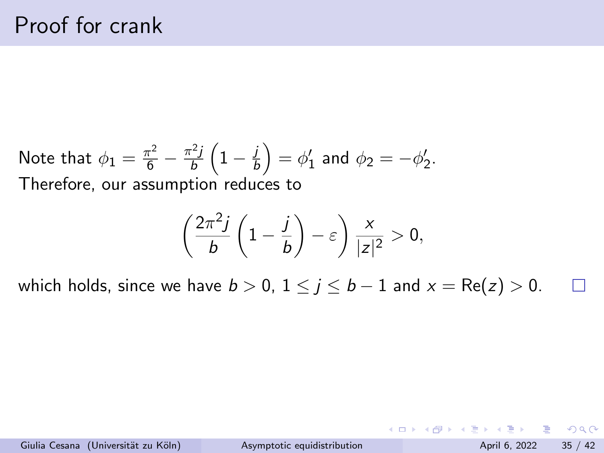Note that 
$$
\phi_1 = \frac{\pi^2}{6} - \frac{\pi^2 j}{b} \left( 1 - \frac{j}{b} \right) = \phi'_1
$$
 and  $\phi_2 = -\phi'_2$ .  
Therefore, our assumption reduces to

$$
\left(\frac{2\pi^2j}{b}\left(1-\frac{j}{b}\right)-\varepsilon\right)\frac{x}{|z|^2}>0,
$$

which holds, since we have  $b > 0$ ,  $1 \le j \le b - 1$  and  $x = \text{Re}(z) > 0$ . П

 $\equiv$  990

イロト イ部 トイヨ トイヨト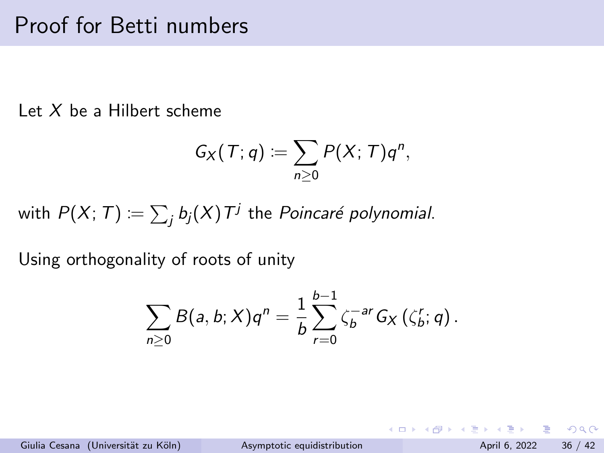## Proof for Betti numbers

Let  $X$  be a Hilbert scheme

$$
G_X(T; q) := \sum_{n \geq 0} P(X; T) q^n,
$$

with  $P(X;\,T)\coloneqq\sum_jb_j(X)$   $T^j$  the  $Poincar$ é polynomial.

Using orthogonality of roots of unity

$$
\sum_{n\geq 0}B(a,b;X)q^n=\frac{1}{b}\sum_{r=0}^{b-1}\zeta_b^{-ar}G_X(\zeta_b^r;q).
$$

Giulia Cesana (Universität zu Köln) [Asymptotic equidistribution](#page-0-0) April 6, 2022 36 / 42

KED KARD KED KED E VOOR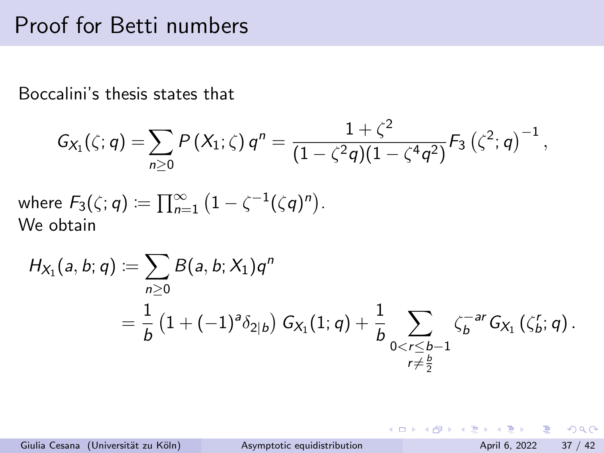## Proof for Betti numbers

Boccalini's thesis states that

$$
G_{X_1}(\zeta;q) = \sum_{n\geq 0} P(X_1;\zeta) q^n = \frac{1+\zeta^2}{(1-\zeta^2q)(1-\zeta^4q^2)} F_3(\zeta^2;q)^{-1},
$$

where  $F_3(\zeta;q)\coloneqq\prod_{n=1}^\infty\left(1-\zeta^{-1}(\zeta q)^n\right)$ . We obtain

$$
H_{X_1}(a, b; q) := \sum_{n \geq 0} B(a, b; X_1) q^n
$$
  
=  $\frac{1}{b} (1 + (-1)^a \delta_{2|b}) G_{X_1}(1; q) + \frac{1}{b} \sum_{\substack{0 < r \leq b-1 \\ r \neq \frac{b}{2}}} \zeta_b^{-ar} G_{X_1}(\zeta_b^r; q).$ 

Giulia Cesana (Universität zu Köln) [Asymptotic equidistribution](#page-0-0) April 6, 2022 37 / 42

 $=$   $\Omega$ 

イロト イ押ト イヨト イヨト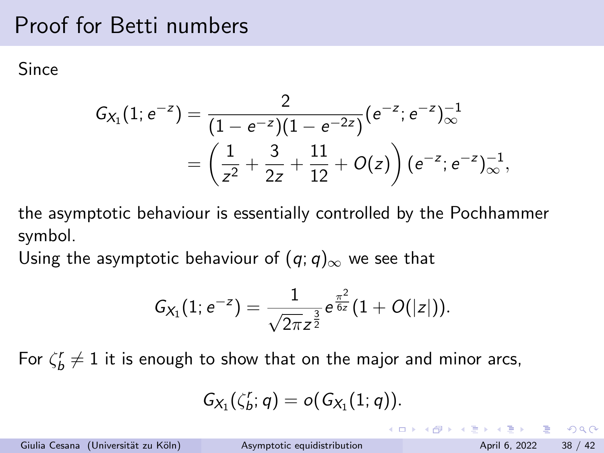# Proof for Betti numbers

**Since** 

$$
G_{X_1}(1; e^{-z}) = \frac{2}{(1 - e^{-z})(1 - e^{-2z})} (e^{-z}; e^{-z})_{\infty}^{-1}
$$
  
= 
$$
\left(\frac{1}{z^2} + \frac{3}{2z} + \frac{11}{12} + O(z)\right) (e^{-z}; e^{-z})_{\infty}^{-1},
$$

the asymptotic behaviour is essentially controlled by the Pochhammer symbol.

Using the asymptotic behaviour of  $(q; q)_{\infty}$  we see that

$$
G_{X_1}(1;e^{-z})=\frac{1}{\sqrt{2\pi}z^{\frac{3}{2}}}e^{\frac{\pi^2}{6z}}(1+O(|z|)).
$$

For  $\zeta_b^\prime\neq 1$  it is enough to show that on the major and minor arcs,

$$
G_{X_1}(\zeta_b^r;q)=o(G_{X_1}(1;q)).
$$

K ロ ▶ K 個 ▶ K 로 ▶ K 로 ▶ 『로 』 ◇ Q Q @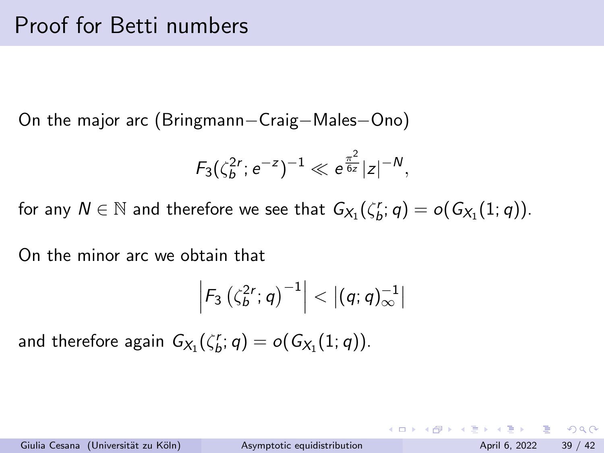On the major arc (Bringmann−Craig−Males−Ono)

$$
F_3(\zeta_b^{2r};e^{-z})^{-1}\ll e^{\frac{\pi^2}{6z}}|z|^{-N},
$$

for any  $N \in \mathbb{N}$  and therefore we see that  $G_{X_1}(\zeta_{b}^r;q) = o(G_{X_1}(1;q)).$ 

On the minor arc we obtain that

$$
\left|F_3\left(\zeta_b^{2r};q\right)^{-1}\right|<\left|(q;q)_\infty^{-1}\right|
$$

and therefore again  $G_{X_1}(\zeta_b^r;q)=o(G_{X_1}(1;q)).$ 

Giulia Cesana (Universität zu Köln) [Asymptotic equidistribution](#page-0-0) April 6, 2022 39 / 42

 $\equiv$   $\cap$   $\alpha$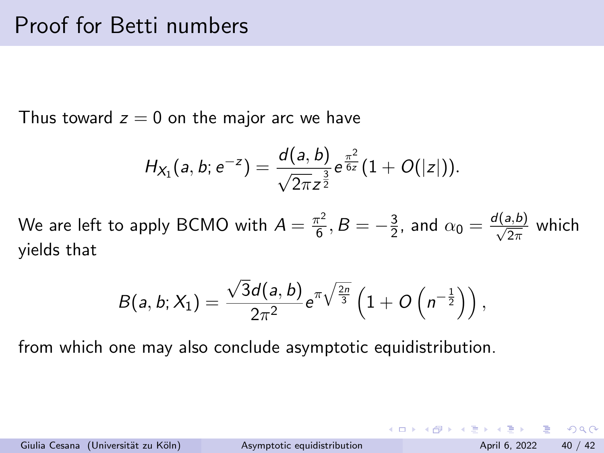Thus toward  $z = 0$  on the major arc we have

$$
H_{X_1}(a, b; e^{-z}) = \frac{d(a, b)}{\sqrt{2\pi}z^{\frac{3}{2}}}e^{\frac{\pi^2}{6z}}(1 + O(|z|)).
$$

We are left to apply BCMO with  $A = \frac{\pi^2}{6}$  $\frac{\tau^2}{6}, B = -\frac{3}{2}$  $\frac{3}{2}$ , and  $\alpha_0 = \frac{d(a,b)}{\sqrt{2\pi}}$  which yields that

$$
B(a,b;X_1)=\frac{\sqrt{3}d(a,b)}{2\pi^2}e^{\pi\sqrt{\frac{2n}{3}}}\left(1+O\left(n^{-\frac{1}{2}}\right)\right),
$$

from which one may also conclude asymptotic equidistribution.

イロト イ母 トイミト イミト ニヨー りんぴ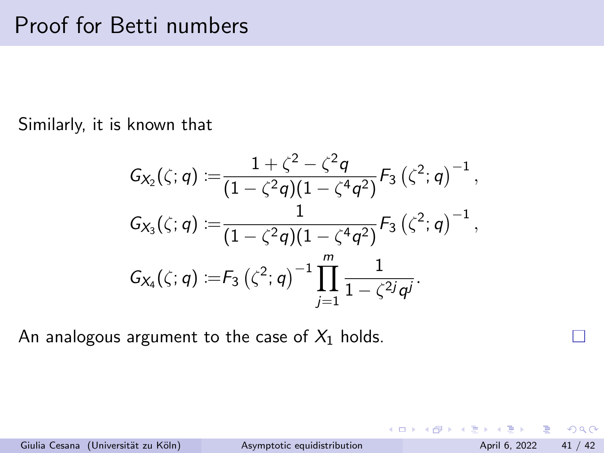Similarly, it is known that

$$
G_{X_2}(\zeta;q) := \frac{1+\zeta^2-\zeta^2q}{(1-\zeta^2q)(1-\zeta^4q^2)} F_3(\zeta^2;q)^{-1},
$$
  
\n
$$
G_{X_3}(\zeta;q) := \frac{1}{(1-\zeta^2q)(1-\zeta^4q^2)} F_3(\zeta^2;q)^{-1},
$$
  
\n
$$
G_{X_4}(\zeta;q) := F_3(\zeta^2;q)^{-1} \prod_{j=1}^m \frac{1}{1-\zeta^{2j}q^j}.
$$

An analogous argument to the case of  $X_1$  holds.

 $\Omega$ 

 $\equiv$ 

 $-4$ 

**K ロ ▶ | K 伺 ▶ | K ヨ ▶**